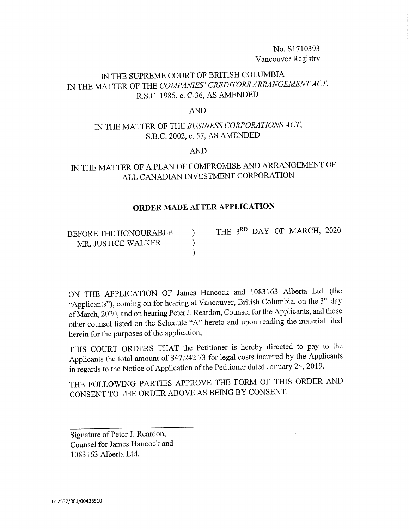No.S1710393 Vancouver Registry

### IN THE SUPREME COURT OF BRITISH COLUMBIA IN THE MATTER OF THE COMPANIES' CREDITORS ARRANGEMENT ACT, R.S.C. 1985, c. C-36, AS AMENDED

#### AND

# IN THE MATTER OF THE BUSINESS CORPORATIONS ACT, S.B.C. 2002, c. 57, AS AMENDED

AND

# IN THE MATTER OF A PLAN OF COMPROMISE AND ARRANGEMENT OF ALL CANADIAN INVESTMENT CORPORATION

#### ORDER MADE AFTER APPLICATION

BEFORE THE HONOURABLE ) THE  $3^{RD}$  DAY OF MARCH, 2020 MR. JUSTICE WALKER MR. JUSTICE WALKER )

ON THE APPLICATION OF James Hancock and 1083163 Alberta Ltd. (the "Applicants"), coming on for hearing at Vancouver, British Columbia, on the 3rd day of March, 2020, and on hearing Peter J. Reardon, Counsel for the Applicants, and those other counsel listed on the Schedule "A" hereto and upon reading the material filed herein for the purposes of the application;

THIS COURT ORDERS THAT the Petitioner is hereby directed to pay to the Applicants the total amount of \$47,242.73 for legal costs incurred by the Applicants in regards to the Notice of Application of the Petitioner dated January 24,2019.

THE FOLLOWING PARTIES APPROVE THE FORM OF THIS ORDER AND CONSENT TO THE ORDER ABOVE AS BEING BY CONSENT.

Signature of Peter J. Reardon, Counsel for James Hancock and 1083163 Alberta Ltd.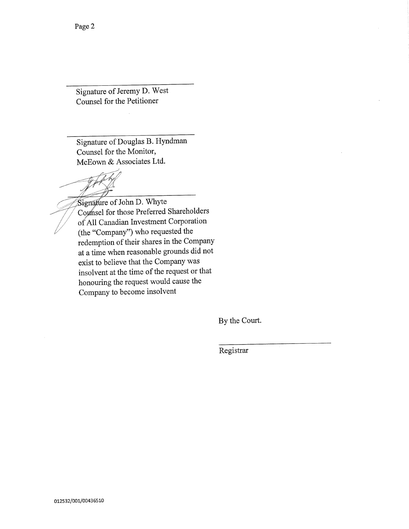Signature of Jeremy D. West Counsel for the Petitioner

Signature of Douglas B. Hyndman Counsel for the Monitor, McEown & Associates Ltd.

Signature of John D. Whyte Counsel for those Preferred Shareholders of All Canadian Investment Corporation (the "Company") who requested the redemption of their shares in the Company at a time when reasonable grounds did not exist to believe that the Company was insolvent at the time of the request or that honouring the request would cause the Company to become insolvent

By the Court.

Registrar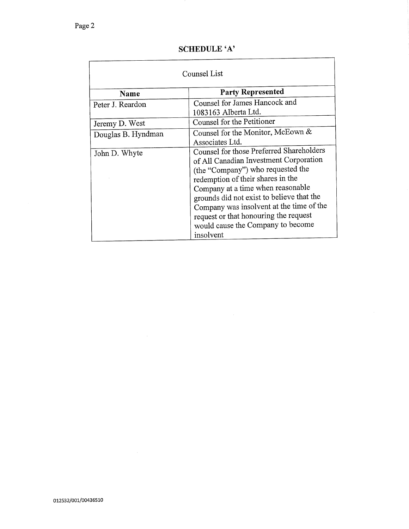#### SCHEDULE 'A'

| Counsel List       |                                                                                                                                                                                                                                                                                                                                                                                       |
|--------------------|---------------------------------------------------------------------------------------------------------------------------------------------------------------------------------------------------------------------------------------------------------------------------------------------------------------------------------------------------------------------------------------|
| Name               | <b>Party Represented</b>                                                                                                                                                                                                                                                                                                                                                              |
| Peter J. Reardon   | Counsel for James Hancock and<br>1083163 Alberta Ltd.                                                                                                                                                                                                                                                                                                                                 |
| Jeremy D. West     | Counsel for the Petitioner                                                                                                                                                                                                                                                                                                                                                            |
| Douglas B. Hyndman | Counsel for the Monitor, McEown &<br>Associates Ltd.                                                                                                                                                                                                                                                                                                                                  |
| John D. Whyte      | Counsel for those Preferred Shareholders<br>of All Canadian Investment Corporation<br>(the "Company") who requested the<br>redemption of their shares in the<br>Company at a time when reasonable<br>grounds did not exist to believe that the<br>Company was insolvent at the time of the<br>request or that honouring the request<br>would cause the Company to become<br>insolvent |